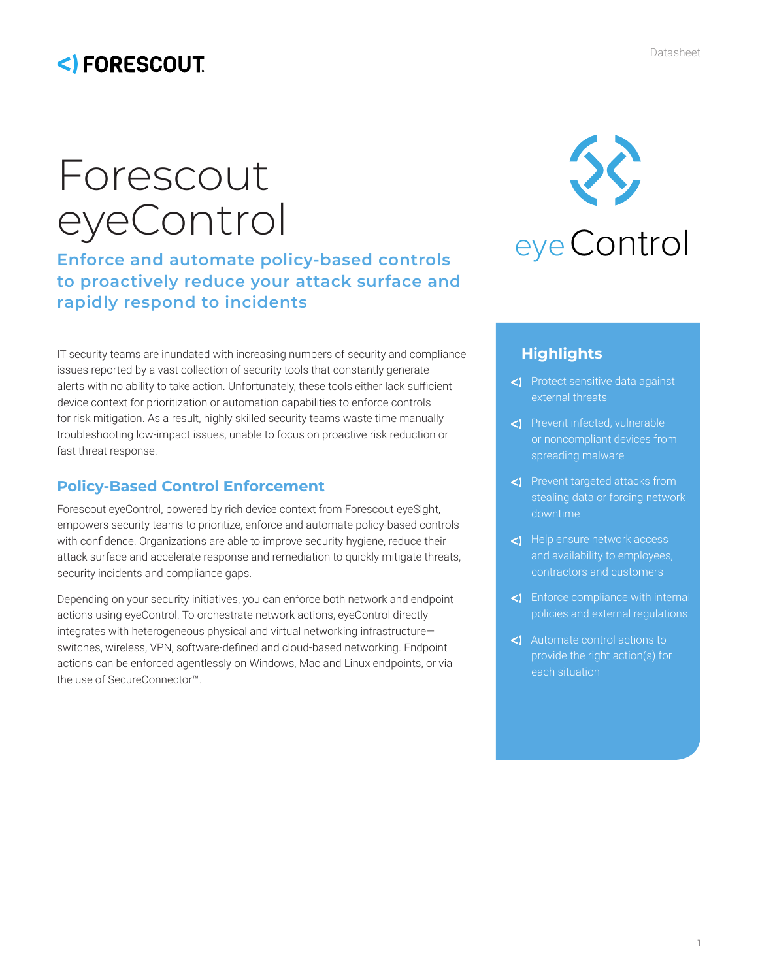## <)FORESCOUT

# Forescout eyeControl

## **Enforce and automate policy-based controls to proactively reduce your attack surface and rapidly respond to incidents**

IT security teams are inundated with increasing numbers of security and compliance issues reported by a vast collection of security tools that constantly generate alerts with no ability to take action. Unfortunately, these tools either lack sufficient device context for prioritization or automation capabilities to enforce controls for risk mitigation. As a result, highly skilled security teams waste time manually troubleshooting low-impact issues, unable to focus on proactive risk reduction or fast threat response.

### **Policy-Based Control Enforcement**

Forescout eyeControl, powered by rich device context from Forescout eyeSight, empowers security teams to prioritize, enforce and automate policy-based controls with confidence. Organizations are able to improve security hygiene, reduce their attack surface and accelerate response and remediation to quickly mitigate threats, security incidents and compliance gaps.

Depending on your security initiatives, you can enforce both network and endpoint actions using eyeControl. To orchestrate network actions, eyeControl directly integrates with heterogeneous physical and virtual networking infrastructure switches, wireless, VPN, software-defined and cloud-based networking. Endpoint actions can be enforced agentlessly on Windows, Mac and Linux endpoints, or via the use of SecureConnector™.



## **Highlights**

- Protect sensitive data against external threats
- Prevent infected, vulnerable or noncompliant devices from spreading malware
- Prevent targeted attacks from stealing data or forcing network downtime
- <1 Help ensure network access and availability to employees, contractors and customers
- Enforce compliance with internal policies and external regulations
- Automate control actions to provide the right action(s) for each situation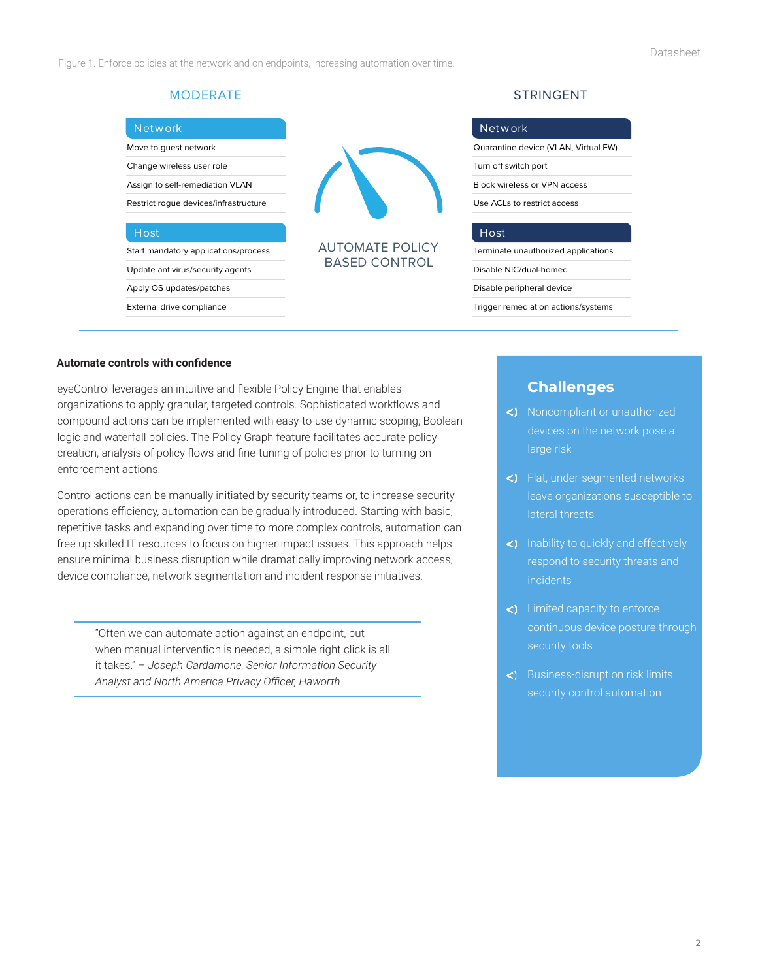Figure 1. Enforce policies at the network and on endpoints, increasing automation over time.

| Network                               |
|---------------------------------------|
| Move to quest network                 |
| Change wireless user role             |
| Assign to self-remediation VLAN       |
| Restrict roque devices/infrastructure |
|                                       |
| Host                                  |
| Start mandatory applications/process  |
| Update antivirus/security agents      |
| Apply OS updates/patches              |
| External drive compliance             |



AUTOMATE POLICY BASED CONTROL

#### MODERATE STRINGENT

| Network                              |
|--------------------------------------|
| Quarantine device (VLAN, Virtual FW) |
| Turn off switch port                 |
| <b>Block wireless or VPN access</b>  |
| Use ACLs to restrict access          |
|                                      |
| Host                                 |
| Terminate unauthorized applications  |
| Disable NIC/dual-homed               |
| Disable peripheral device            |
|                                      |

Trigger remediation actions/systems

#### **Automate controls with confidence**

eyeControl leverages an intuitive and flexible Policy Engine that enables organizations to apply granular, targeted controls. Sophisticated workflows and compound actions can be implemented with easy-to-use dynamic scoping, Boolean logic and waterfall policies. The Policy Graph feature facilitates accurate policy creation, analysis of policy flows and fine-tuning of policies prior to turning on enforcement actions.

Control actions can be manually initiated by security teams or, to increase security operations efficiency, automation can be gradually introduced. Starting with basic, repetitive tasks and expanding over time to more complex controls, automation can free up skilled IT resources to focus on higher-impact issues. This approach helps ensure minimal business disruption while dramatically improving network access, device compliance, network segmentation and incident response initiatives.

"Often we can automate action against an endpoint, but when manual intervention is needed, a simple right click is all it takes." *– Joseph Cardamone, Senior Information Security Analyst and North America Privacy Officer, Haworth*

#### **Challenges**

- <) Noncompliant or unauthorized devices on the network pose a large risk
- Flat, under-segmented networks leave organizations susceptible to lateral threats
- <) Inability to quickly and effectively respond to security threats and incidents
- Limited capacity to enforce continuous device posture through security tools
- Business-disruption risk limits security control automation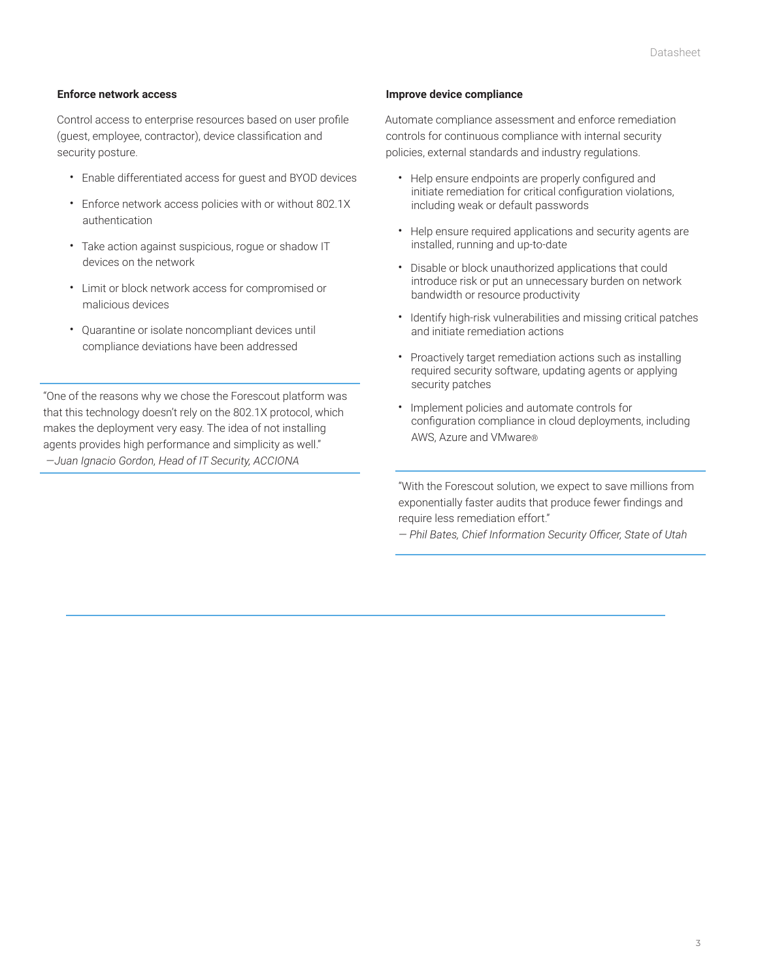#### **Enforce network access**

Control access to enterprise resources based on user profile (guest, employee, contractor), device classification and security posture.

- Enable differentiated access for guest and BYOD devices
- Enforce network access policies with or without 802.1X authentication
- Take action against suspicious, rogue or shadow IT devices on the network
- Limit or block network access for compromised or malicious devices
- Quarantine or isolate noncompliant devices until compliance deviations have been addressed

"One of the reasons why we chose the Forescout platform was that this technology doesn't rely on the 802.1X protocol, which makes the deployment very easy. The idea of not installing agents provides high performance and simplicity as well." *—Juan Ignacio Gordon, Head of IT Security, ACCIONA*

#### **Improve device compliance**

Automate compliance assessment and enforce remediation controls for continuous compliance with internal security policies, external standards and industry regulations.

- Help ensure endpoints are properly configured and initiate remediation for critical configuration violations, including weak or default passwords
- Help ensure required applications and security agents are installed, running and up-to-date
- Disable or block unauthorized applications that could introduce risk or put an unnecessary burden on network bandwidth or resource productivity
- Identify high-risk vulnerabilities and missing critical patches and initiate remediation actions
- Proactively target remediation actions such as installing required security software, updating agents or applying security patches
- Implement policies and automate controls for configuration compliance in cloud deployments, including AWS, Azure and VMware®

"With the Forescout solution, we expect to save millions from exponentially faster audits that produce fewer findings and require less remediation effort."

*— Phil Bates, Chief Information Security Officer, State of Utah*